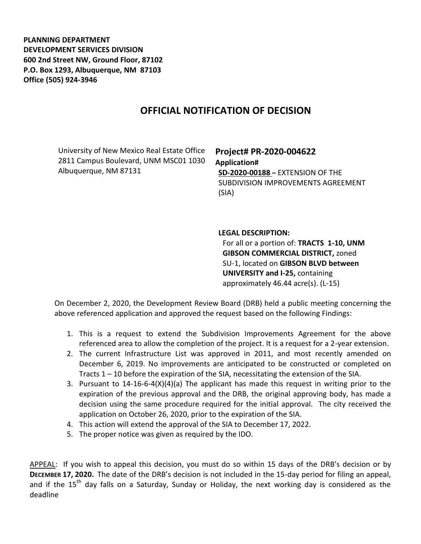**PLANNING DEPARTMENT DEVELOPMENT SERVICES DIVISION 600 2nd Street NW, Ground Floor, 87102 P.O. Box 1293, Albuquerque, NM 87103 Office (505) 924-3946** 

## **OFFICIAL NOTIFICATION OF DECISION**

University of New Mexico Real Estate Office 2811 Campus Boulevard, UNM MSC01 1030 Albuquerque, NM 87131

## **Project# PR-2020-004622 Application# SD-2020-00188 –** EXTENSION OF THE SUBDIVISION IMPROVEMENTS AGREEMENT (SIA)

**LEGAL DESCRIPTION:**

For all or a portion of: **TRACTS 1-10, UNM GIBSON COMMERCIAL DISTRICT,** zoned SU-1, located on **GIBSON BLVD between UNIVERSITY and I-25,** containing approximately 46.44 acre(s). (L-15)

On December 2, 2020, the Development Review Board (DRB) held a public meeting concerning the above referenced application and approved the request based on the following Findings:

- 1. This is a request to extend the Subdivision Improvements Agreement for the above referenced area to allow the completion of the project. It is a request for a 2-year extension.
- 2. The current Infrastructure List was approved in 2011, and most recently amended on December 6, 2019. No improvements are anticipated to be constructed or completed on Tracts 1 – 10 before the expiration of the SIA, necessitating the extension of the SIA.
- 3. Pursuant to  $14\n-16\n-6\n-4(X)(4)(a)$  The applicant has made this request in writing prior to the expiration of the previous approval and the DRB, the original approving body, has made a decision using the same procedure required for the initial approval. The city received the application on October 26, 2020, prior to the expiration of the SIA.
- 4. This action will extend the approval of the SIA to December 17, 2022.
- 5. The proper notice was given as required by the IDO.

APPEAL: If you wish to appeal this decision, you must do so within 15 days of the DRB's decision or by **DECEMBER 17, 2020.** The date of the DRB's decision is not included in the 15-day period for filing an appeal, and if the  $15<sup>th</sup>$  day falls on a Saturday, Sunday or Holiday, the next working day is considered as the deadline